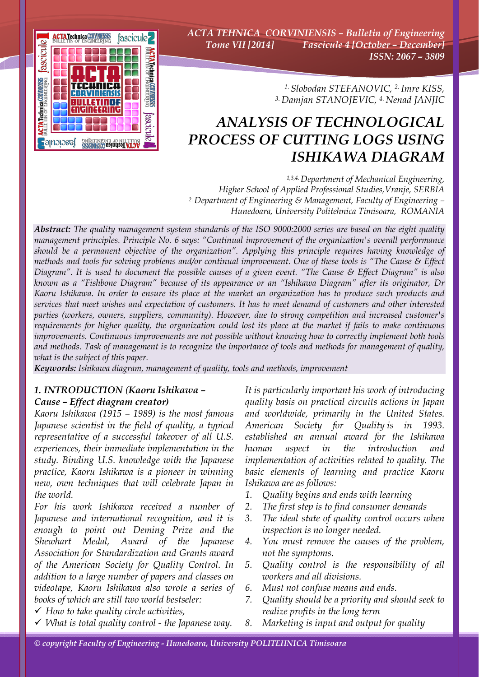

*ACTA TEHNICA CORVINIENSIS – Bulletin of Engineering Tome VII [2014] Fascicule 4 [October – December] ISSN: 2067 – 3809* 

> *1. Slobodan STEFANOVIC, 2. Imre KISS, 3. Damjan STANOJEVIC, 4. Nenad JANJIC*

# *ANALYSIS OF TECHNOLOGICAL PROCESS OF CUTTING LOGS USING ISHIKAWA DIAGRAM*

*1,3,4. Department of Mechanical Engineering, Higher School of Applied Professional Studies,Vranje, SERBIA 2. Department of Engineering & Management, Faculty of Engineering – Hunedoara, University Politehnica Timisoara, ROMANIA*

*Abstract: The quality management system standards of the ISO 9000:2000 series are based on the eight quality management principles. Principle No. 6 says: "Continual improvement of the organization's overall performance should be a permanent objective of the organization". Applying this principle requires having knowledge of methods and tools for solving problems and/or continual improvement. One of these tools is "The Cause & Effect Diagram". It is used to document the possible causes of a given event. "The Cause & Effect Diagram" is also known as a "Fishbone Diagram" because of its appearance or an "Ishikawa Diagram" after its originator, Dr Kaoru Ishikawa. In order to ensure its place at the market an organization has to produce such products and services that meet wishes and expectation of customers. It has to meet demand of customers and other interested parties (workers, owners, suppliers, community). However, due to strong competition and increased customer's requirements for higher quality, the organization could lost its place at the market if fails to make continuous improvements. Continuous improvements are not possible without knowing how to correctly implement both tools and methods. Task of management is to recognize the importance of tools and methods for management of quality, what is the subject of this paper.* 

*Keywords: Ishikawa diagram, management of quality, tools and methods, improvement*

# *1. INTRODUCTION (Kaoru Ishikawa – Cause – Effect diagram creator)*

*Kaoru Ishikawa (1915 – 1989) is the most famous Japanese scientist in the field of quality, a typical representative of a successful takeover of all U.S. experiences, their immediate implementation in the study. Binding U.S. knowledge with the Japanese practice, Kaoru Ishikawa is a pioneer in winning new, own techniques that will celebrate Japan in the world.* 

*For his work Ishikawa received a number of Japanese and international recognition, and it is enough to point out Deming Prize and the Shewhart Medal, Award of the Japanese Association for Standardization and Grants award of the American Society for Quality Control. In addition to a large number of papers and classes on videotape, Kaoru Ishikawa also wrote a series of books of which are still two world bestseler:* 

- 9 *How to take quality circle activities,*
- 9 *What is total quality control the Japanese way.*

*It is particularly important his work of introducing quality basis on practical circuits actions in Japan and worldwide, primarily in the United States. American Society for Quality is in 1993. established an annual award for the Ishikawa human aspect in the introduction and implementation of activities related to quality. The basic elements of learning and practice Kaoru Ishikawa are as follows:* 

- *1. Quality begins and ends with learning*
- *2. The first step is to find consumer demands*
- *3. The ideal state of quality control occurs when inspection is no longer needed.*
- *4. You must remove the causes of the problem, not the symptoms.*
- *5. Quality control is the responsibility of all workers and all divisions.*
- *6. Must not confuse means and ends.*
- *7. Quality should be a priority and should seek to realize profits in the long term*
- *8. Marketing is input and output for quality*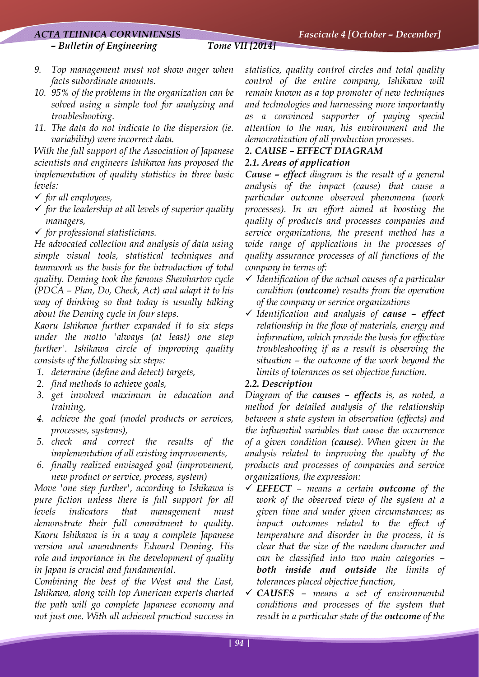# *ACTA TEHNICA CORVINIENSIS Fascicule 4 [October – December]*

- *9. Top management must not show anger when facts subordinate amounts.*
- *10. 95% of the problems in the organization can be solved using a simple tool for analyzing and troubleshooting.*
- *11. The data do not indicate to the dispersion (ie. variability) were incorrect data.*

*With the full support of the Association of Japanese scientists and engineers Ishikawa has proposed the implementation of quality statistics in three basic levels:* 

- 9 *for all employees,*
- 9 *for the leadership at all levels of superior quality managers,*
- 9 *for professional statisticians.*

*He advocated collection and analysis of data using simple visual tools, statistical techniques and teamwork as the basis for the introduction of total quality. Deming took the famous Shewhartov cycle (PDCA – Plan, Do, Check, Act) and adapt it to his way of thinking so that today is usually talking about the Deming cycle in four steps.* 

*Kaoru Ishikawa further expanded it to six steps under the motto 'always (at least) one step further'. Ishikawa circle of improving quality consists of the following six steps:* 

- *1. determine (define and detect) targets,*
- *2. find methods to achieve goals,*
- *3. get involved maximum in education and training,*
- *4. achieve the goal (model products or services, processes, systems),*
- *5. check and correct the results of the implementation of all existing improvements,*
- *6. finally realized envisaged goal (improvement, new product or service, process, system)*

*Move 'one step further', according to Ishikawa is pure fiction unless there is full support for all levels indicators that management must demonstrate their full commitment to quality. Kaoru Ishikawa is in a way a complete Japanese version and amendments Edward Deming. His role and importance in the development of quality in Japan is crucial and fundamental.* 

*Combining the best of the West and the East, Ishikawa, along with top American experts charted the path will go complete Japanese economy and not just one. With all achieved practical success in*  *statistics, quality control circles and total quality control of the entire company, Ishikawa will remain known as a top promoter of new techniques and technologies and harnessing more importantly as a convinced supporter of paying special attention to the man, his environment and the democratization of all production processes.* 

# *2. CAUSE – EFFECT DIAGRAM 2.1. Areas of application*

*Cause – effect diagram is the result of a general analysis of the impact (cause) that cause a particular outcome observed phenomena (work processes). In an effort aimed at boosting the quality of products and processes companies and service organizations, the present method has a wide range of applications in the processes of quality assurance processes of all functions of the company in terms of:* 

- 9 *Identification of the actual causes of a particular condition (outcome) results from the operation of the company or service organizations*
- 9 *Identification and analysis of cause effect relationship in the flow of materials, energy and information, which provide the basis for effective troubleshooting if as a result is observing the situation – the outcome of the work beyond the limits of tolerances os set objective function.*

# *2.2. Description*

*Diagram of the causes – effects is, as noted, a method for detailed analysis of the relationship between a state system in observation (effects) and the influential variables that cause the occurrence of a given condition (cause). When given in the analysis related to improving the quality of the products and processes of companies and service organizations, the expression:* 

- 9 *EFFECT – means a certain outcome of the work of the observed view of the system at a given time and under given circumstances; as impact outcomes related to the effect of temperature and disorder in the process, it is clear that the size of the random character and can be classified into two main categories – both inside and outside the limits of tolerances placed objective function,*
- 9 *CAUSES means a set of environmental conditions and processes of the system that result in a particular state of the outcome of the*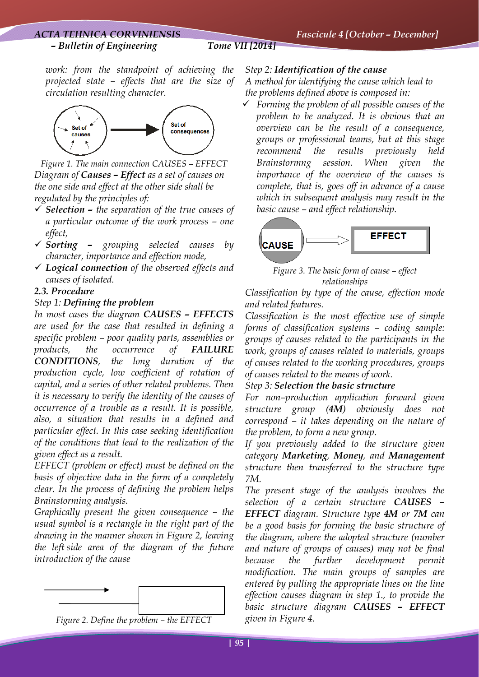### *– Bulletin of Engineering Tome VII [2014]*

*work: from the standpoint of achieving the projected state – effects that are the size of circulation resulting character.* 



*Figure 1. The main connection CAUSES – EFFECT Diagram of Causes – Effect as a set of causes on the one side and effect at the other side shall be regulated by the principles of:* 

- 9 *Selection the separation of the true causes of a particular outcome of the work process – one effect,*
- 9 *Sorting grouping selected causes by character, importance and effection mode,*
- 9 *Logical connection of the observed effects and causes of isolated.*

# *2.3. Procedure*

# *Step 1: Defining the problem*

*In most cases the diagram CAUSES – EFFECTS are used for the case that resulted in defining a specific problem – poor quality parts, assemblies or products, the occurrence of FAILURE CONDITIONS, the long duration of the production cycle, low coefficient of rotation of capital, and a series of other related problems. Then it is necessary to verify the identity of the causes of occurrence of a trouble as a result. It is possible, also, a situation that results in a defined and particular effect. In this case seeking identification of the conditions that lead to the realization of the given effect as a result.* 

*EFFECT (problem or effect) must be defined on the basis of objective data in the form of a completely clear. In the process of defining the problem helps Brainstorming analysis.* 

*Graphically present the given consequence – the usual symbol is a rectangle in the right part of the drawing in the manner shown in Figure 2, leaving the left side area of the diagram of the future introduction of the cause* 





# *Step 2: Identification of the cause*

*A method for identifying the cause which lead to the problems defined above is composed in:* 

9 *Forming the problem of all possible causes of the problem to be analyzed. It is obvious that an overview can be the result of a consequence, groups or professional teams, but at this stage recommend the results previously held Brainstormng session. When given the importance of the overview of the causes is complete, that is, goes off in advance of a cause which in subsequent analysis may result in the basic cause – and effect relationship.* 



*Figure 3. The basic form of cause – effect relationships* 

*Classification by type of the cause, effection mode and related features.* 

*Classification is the most effective use of simple forms of classification systems – coding sample: groups of causes related to the participants in the work, groups of causes related to materials, groups of causes related to the working procedures, groups of causes related to the means of work.* 

# *Step 3: Selection the basic structure*

*For non–production application forward given structure group (4M) obviously does not correspond – it takes depending on the nature of the problem, to form a new group.* 

*If you previously added to the structure given category Marketing, Money, and Management structure then transferred to the structure type 7M.* 

*The present stage of the analysis involves the selection of a certain structure CAUSES – EFFECT diagram. Structure type 4M or 7M can be a good basis for forming the basic structure of the diagram, where the adopted structure (number and nature of groups of causes) may not be final because the further development permit modification. The main groups of samples are entered by pulling the appropriate lines on the line effection causes diagram in step 1., to provide the basic structure diagram CAUSES – EFFECT given in Figure 4.*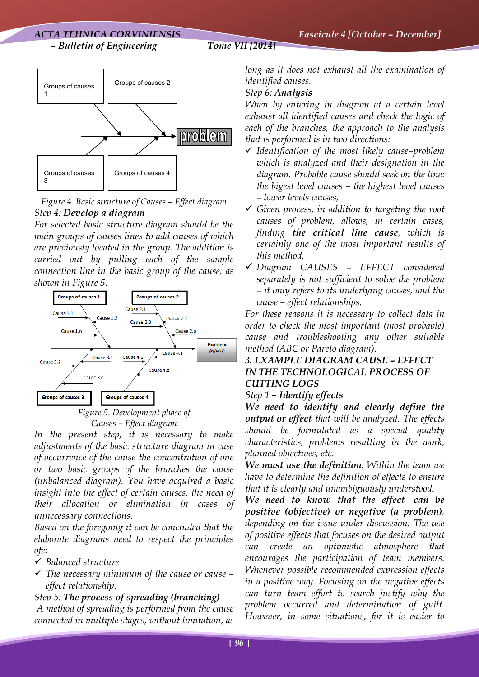

*Figure 4. Basic structure of Causes – Effect diagram Step 4: Develop a diagram*

*For selected basic structure diagram should be the main groups of causes lines to add causes of which are previously located in the group. The addition is carried out by pulling each of the sample connection line in the basic group of the cause, as shown in Figure 5.* 



*Causes – Effect diagram* 

*In the present step, it is necessary to make adjustments of the basic structure diagram in case of occurrence of the cause the concentration of one or two basic groups of the branches the cause (unbalanced diagram). You have acquired a basic insight into the effect of certain causes, the need of their allocation or elimination in cases of unnecessary connections.* 

*Based on the foregoing it can be concluded that the elaborate diagrams need to respect the principles ofe:* 

- 9 *Balanced structure*
- 9 *The necessary minimum of the cause or cause effect relationship.*

# *Step 5: The process of spreading (branching) A method of spreading is performed from the cause connected in multiple stages, without limitation, as*

*long as it does not exhaust all the examination of identified causes.* 

# *Step 6: Analysis*

*When by entering in diagram at a certain level exhaust all identified causes and check the logic of each of the branches, the approach to the analysis that is performed is in two directions:* 

- 9 *Identification of the most likely cause–problem which is analyzed and their designation in the diagram. Probable cause should seek on the line: the bigest level causes – the highest level causes – lower levels causes,*
- 9 *Given process, in addition to targeting the root causes of problem, allows, in certain cases, finding the critical line cause, which is certainly one of the most important results of this method,*
- 9 *Diagram CAUSES EFFECT considered separately is not sufficient to solve the problem – it only refers to its underlying causes, and the cause – effect relationships.*

*For these reasons it is necessary to collect data in order to check the most important (most probable) cause and troubleshooting any other suitable method (ABC or Pareto diagram).* 

# *3. EXAMPLE DIAGRAM CAUSE – EFFECT IN THE TECHNOLOGICAL PROCESS OF CUTTING LOGS*

# *Step 1 – Identify effects*

*We need to identify and clearly define the output or effect that will be analyzed. The effects should be formulated as a special quality characteristics, problems resulting in the work, planned objectives, etc.*

*We must use the definition. Within the team we have to determine the definition of effects to ensure that it is clearly and unambiguously understood.* 

*We need to know that the effect can be positive (objective) or negative (a problem), depending on the issue under discussion. The use of positive effects that focuses on the desired output can create an optimistic atmosphere that encourages the participation of team members. Whenever possible recommended expression effects in a positive way. Focusing on the negative effects can turn team effort to search justify why the problem occurred and determination of guilt. However, in some situations, for it is easier to*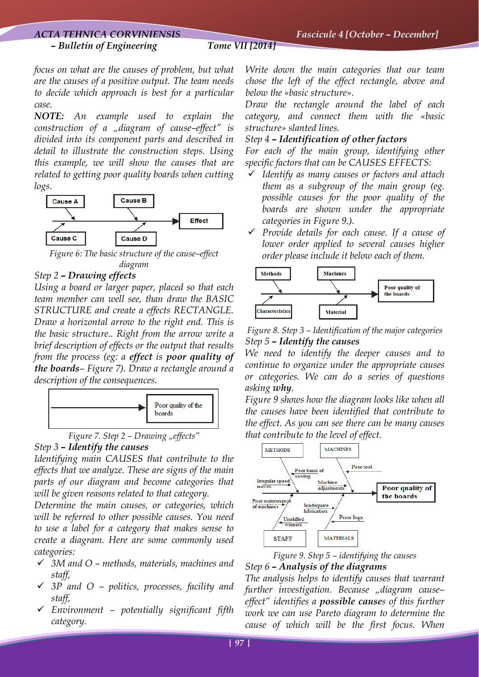# *ACTA TEHNICA CORVINIENSIS Fascicule 4 [October – December]*

#### *– Bulletin of Engineering Tome VII [2014]*

*focus on what are the causes of problem, but what are the causes of a positive output. The team needs to decide which approach is best for a particular case.* 

*NOTE: An example used to explain the construction of a "diagram of cause–effect" is divided into its component parts and described in detail to illustrate the construction steps. Using this example, we will show the causes that are related to getting poor quality boards when cutting logs.* 



*Figure 6: The basic structure of the cause–effect diagram* 

### *Step 2 – Drawing effects*

*Using a board or larger paper, placed so that each team member can well see, than draw the BASIC STRUCTURE and create a effects RECTANGLE. Draw a horizontal arrow to the right end. This is the basic structure.. Right from the arrow write a brief description of effects or the output that results from the process (eg: a effect is poor quality of the boards– Figure 7). Draw a rectangle around a description of the consequences.* 





#### *Step 3 – Identify the causes*

*Identifying main CAUSES that contribute to the effects that we analyze. These are signs of the main parts of our diagram and become categories that will be given reasons related to that category.* 

*Determine the main causes, or categories, which will be referred to other possible causes. You need to use a label for a category that makes sense to create a diagram. Here are some commonly used categories:* 

- 9 *3M and O methods, materials, machines and staff,*
- 9 *3P and O politics, processes, facility and staff,*
- 9 *Environment potentially significant fifth category.*

*Write down the main categories that our team chose the left of the effect rectangle, above and below the «basic structure».* 

*Draw the rectangle around the label of each category, and connect them with the «basic structure» slanted lines.* 

#### *Step 4 – Identification of other factors*

*For each of the main group, identifying other specific factors that can be CAUSES EFFECTS:*

- 9 *Identify as many causes or factors and attach them as a subgroup of the main group (eg. possible causes for the poor quality of the boards are shown under the appropriate categories in Figure 9.).*
- 9 *Provide details for each cause. If a cause of lower order applied to several causes higher order please include it below each of them.*



*Figure 8. Step 3 – Identification of the major categories Step 5 – Identify the causes* 

*We need to identify the deeper causes and to continue to organize under the appropriate causes or categories. We can do a series of questions asking why.*

*Figure 9 shows how the diagram looks like when all the causes have been identified that contribute to the effect. As you can see there can be many causes that contribute to the level of effect.* 





*The analysis helps to identify causes that warrant further investigation. Because "diagram cause– effect" identifies a possible causes of this further work we can use Pareto diagram to determine the cause of which will be the first focus. When*